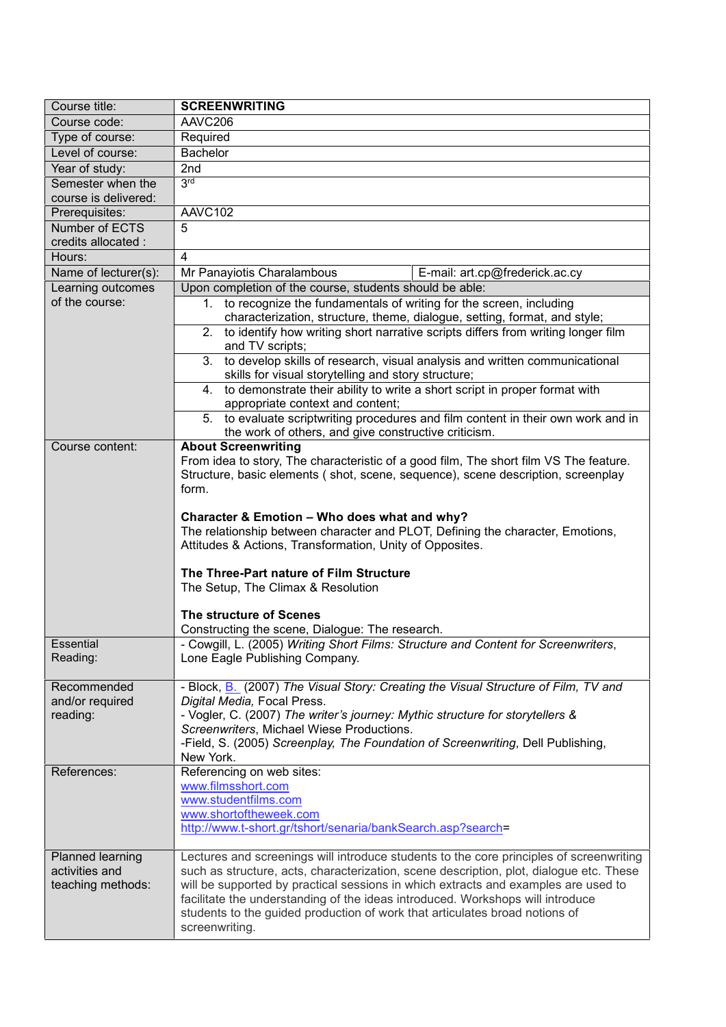| Course title:        | <b>SCREENWRITING</b>                                                                                                                |
|----------------------|-------------------------------------------------------------------------------------------------------------------------------------|
| Course code:         | AAVC206                                                                                                                             |
| Type of course:      | Required                                                                                                                            |
| Level of course:     | <b>Bachelor</b>                                                                                                                     |
| Year of study:       | 2 <sub>nd</sub>                                                                                                                     |
| Semester when the    | 3 <sub>td</sub>                                                                                                                     |
| course is delivered: |                                                                                                                                     |
| Prerequisites:       | AAVC102                                                                                                                             |
| Number of ECTS       | 5                                                                                                                                   |
| credits allocated :  |                                                                                                                                     |
| Hours:               | 4                                                                                                                                   |
| Name of lecturer(s): | Mr Panayiotis Charalambous<br>E-mail: art.cp@frederick.ac.cy                                                                        |
| Learning outcomes    | Upon completion of the course, students should be able:                                                                             |
| of the course:       | 1. to recognize the fundamentals of writing for the screen, including                                                               |
|                      | characterization, structure, theme, dialogue, setting, format, and style;                                                           |
|                      | 2. to identify how writing short narrative scripts differs from writing longer film<br>and TV scripts;                              |
|                      | 3. to develop skills of research, visual analysis and written communicational                                                       |
|                      | skills for visual storytelling and story structure;                                                                                 |
|                      | 4. to demonstrate their ability to write a short script in proper format with                                                       |
|                      | appropriate context and content;                                                                                                    |
|                      | 5. to evaluate scriptwriting procedures and film content in their own work and in                                                   |
|                      | the work of others, and give constructive criticism.                                                                                |
| Course content:      | <b>About Screenwriting</b>                                                                                                          |
|                      | From idea to story, The characteristic of a good film, The short film VS The feature.                                               |
|                      | Structure, basic elements (shot, scene, sequence), scene description, screenplay<br>form.                                           |
|                      |                                                                                                                                     |
|                      | Character & Emotion - Who does what and why?                                                                                        |
|                      | The relationship between character and PLOT, Defining the character, Emotions,                                                      |
|                      | Attitudes & Actions, Transformation, Unity of Opposites.                                                                            |
|                      |                                                                                                                                     |
|                      | The Three-Part nature of Film Structure                                                                                             |
|                      | The Setup, The Climax & Resolution                                                                                                  |
|                      | The structure of Scenes                                                                                                             |
|                      |                                                                                                                                     |
| <b>Essential</b>     | Constructing the scene, Dialogue: The research.<br>Cowgill, L. (2005) Writing Short Films: Structure and Content for Screenwriters, |
| Reading:             | Lone Eagle Publishing Company.                                                                                                      |
|                      |                                                                                                                                     |
| Recommended          | - Block, B. (2007) The Visual Story: Creating the Visual Structure of Film, TV and                                                  |
| and/or required      | Digital Media, Focal Press.                                                                                                         |
| reading:             | - Vogler, C. (2007) The writer's journey: Mythic structure for storytellers &                                                       |
|                      | Screenwriters, Michael Wiese Productions.                                                                                           |
|                      | -Field, S. (2005) Screenplay, The Foundation of Screenwriting, Dell Publishing,                                                     |
| References:          | New York.                                                                                                                           |
|                      | Referencing on web sites:<br>www.filmsshort.com                                                                                     |
|                      | www.studentfilms.com                                                                                                                |
|                      | www.shortoftheweek.com                                                                                                              |
|                      | http://www.t-short.gr/tshort/senaria/bankSearch.asp?search=                                                                         |
|                      |                                                                                                                                     |
| Planned learning     | Lectures and screenings will introduce students to the core principles of screenwriting                                             |
| activities and       | such as structure, acts, characterization, scene description, plot, dialogue etc. These                                             |
| teaching methods:    | will be supported by practical sessions in which extracts and examples are used to                                                  |
|                      | facilitate the understanding of the ideas introduced. Workshops will introduce                                                      |
|                      | students to the guided production of work that articulates broad notions of<br>screenwriting.                                       |
|                      |                                                                                                                                     |